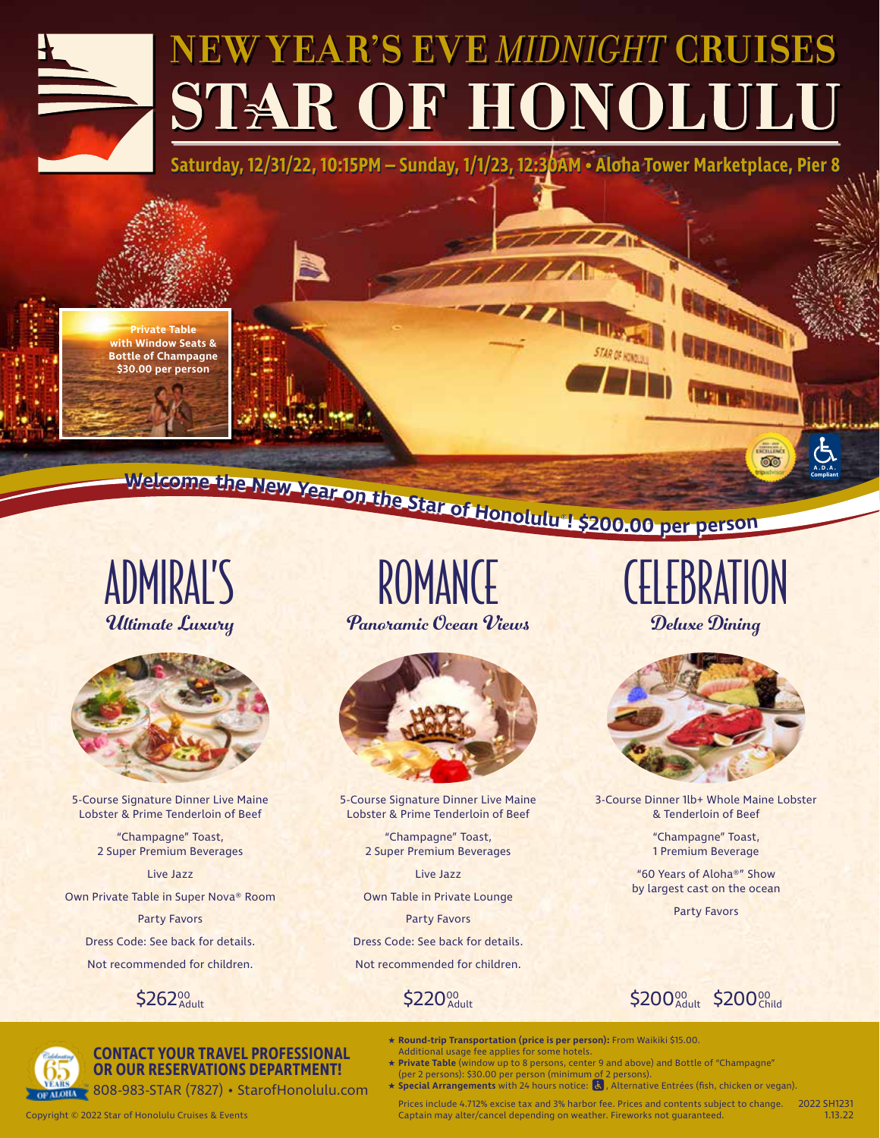# **NEW YEAR'S EVE** *MIDNIGHT* **CRUISES** STAR OF HONOLULU

**Saturday, 12/31/22, 10:15PM – Sunday, 1/1/23, 12:30AM • Aloha Tower Marketplace, Pier 8**

**A A BELLEY** 

**Private Table with Window Seats & Bottle of Champagne \$30.00 per person**

-welcome the New Year on the Star of Honolulu 1 \$200.00 per person

Ultimate Luxury Panoramic Ocean Views Deluxe Dining



5-Course Signature Dinner Live Maine Lobster & Prime Tenderloin of Beef

> "Champagne" Toast, 2 Super Premium Beverages

> > Live Jazz

Own Private Table in Super Nova® Room

Party Favors Dress Code: See back for details. Not recommended for children.



ADMIRAL'S ROMANCE CELEBRATION ROMANCE



5-Course Signature Dinner Live Maine Lobster & Prime Tenderloin of Beef

> "Champagne" Toast, 2 Super Premium Beverages

> > Live Jazz

Own Table in Private Lounge

Party Favors

Dress Code: See back for details. Not recommended for children.

## $\mathsf{220}_\mathsf{Adult}^\mathsf{00}$

Captain may alter/cancel depending on weather. Fireworks not guaranteed. Copyright © 2022 Star of Honolulu Cruises & Events 1.13.22

 $$262_{\text{Adult}}^{90}$  \$220 $_{\text{Adult}}^{90}$  \$200 $_{\text{Adult}}^{90}$  \$200 $_{\text{Adult}}^{90}$  \$200 $_{\text{Child}}^{90}$ 



### **CONTACT YOUR TRAVEL PROFESSIONAL OR OUR RESERVATIONS DEPARTMENT!**

808-983-STAR (7827) • StarofHonolulu.com

★ **Special Arrangements** with 24 hours notice: , Alternative Entrées (fish, chicken or vegan). Prices include 4.712% excise tax and 3% harbor fee. Prices and contents subject to change. 2022 SH1231

★ **Private Table** (window up to 8 persons, center 9 and above) and Bottle of "Champagne"

★ **Round-trip Transportation (price is per person):** From Waikiki \$15.00.

(per 2 persons): \$30.00 per person (minimum of 2 persons).

Additional usage fee applies for some hotels.

**TELETIN** 

**A.D.A.**

**OO** 



3-Course Dinner 1lb+ Whole Maine Lobster & Tenderloin of Beef

> "Champagne" Toast, 1 Premium Beverage

"60 Years of Aloha®" Show by largest cast on the ocean

Party Favors